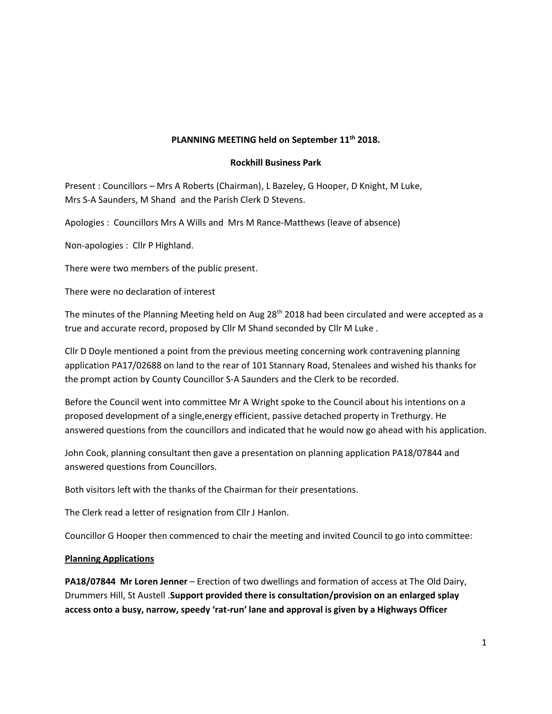## **PLANNING MEETING held on September 11th 2018.**

### **Rockhill Business Park**

Present : Councillors – Mrs A Roberts (Chairman), L Bazeley, G Hooper, D Knight, M Luke, Mrs S-A Saunders, M Shand and the Parish Clerk D Stevens.

Apologies : Councillors Mrs A Wills and Mrs M Rance-Matthews (leave of absence)

Non-apologies : Cllr P Highland.

There were two members of the public present.

There were no declaration of interest

The minutes of the Planning Meeting held on Aug 28<sup>th</sup> 2018 had been circulated and were accepted as a true and accurate record, proposed by Cllr M Shand seconded by Cllr M Luke .

Cllr D Doyle mentioned a point from the previous meeting concerning work contravening planning application PA17/02688 on land to the rear of 101 Stannary Road, Stenalees and wished his thanks for the prompt action by County Councillor S-A Saunders and the Clerk to be recorded.

Before the Council went into committee Mr A Wright spoke to the Council about his intentions on a proposed development of a single,energy efficient, passive detached property in Trethurgy. He answered questions from the councillors and indicated that he would now go ahead with his application.

John Cook, planning consultant then gave a presentation on planning application PA18/07844 and answered questions from Councillors.

Both visitors left with the thanks of the Chairman for their presentations.

The Clerk read a letter of resignation from Cllr J Hanlon.

Councillor G Hooper then commenced to chair the meeting and invited Council to go into committee:

#### **Planning Applications**

**PA18/07844 Mr Loren Jenner** – Erection of two dwellings and formation of access at The Old Dairy, Drummers Hill, St Austell .**Support provided there is consultation/provision on an enlarged splay access onto a busy, narrow, speedy 'rat-run' lane and approval is given by a Highways Officer**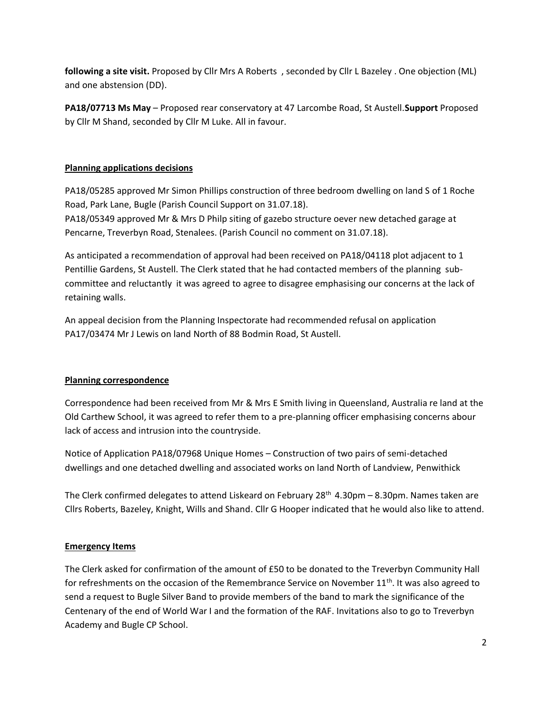**following a site visit.** Proposed by Cllr Mrs A Roberts , seconded by Cllr L Bazeley . One objection (ML) and one abstension (DD).

**PA18/07713 Ms May** – Proposed rear conservatory at 47 Larcombe Road, St Austell.**Support** Proposed by Cllr M Shand, seconded by Cllr M Luke. All in favour.

# **Planning applications decisions**

PA18/05285 approved Mr Simon Phillips construction of three bedroom dwelling on land S of 1 Roche Road, Park Lane, Bugle (Parish Council Support on 31.07.18).

PA18/05349 approved Mr & Mrs D Philp siting of gazebo structure oever new detached garage at Pencarne, Treverbyn Road, Stenalees. (Parish Council no comment on 31.07.18).

As anticipated a recommendation of approval had been received on PA18/04118 plot adjacent to 1 Pentillie Gardens, St Austell. The Clerk stated that he had contacted members of the planning subcommittee and reluctantly it was agreed to agree to disagree emphasising our concerns at the lack of retaining walls.

An appeal decision from the Planning Inspectorate had recommended refusal on application PA17/03474 Mr J Lewis on land North of 88 Bodmin Road, St Austell.

## **Planning correspondence**

Correspondence had been received from Mr & Mrs E Smith living in Queensland, Australia re land at the Old Carthew School, it was agreed to refer them to a pre-planning officer emphasising concerns abour lack of access and intrusion into the countryside.

Notice of Application PA18/07968 Unique Homes – Construction of two pairs of semi-detached dwellings and one detached dwelling and associated works on land North of Landview, Penwithick

The Clerk confirmed delegates to attend Liskeard on February 28<sup>th</sup> 4.30pm - 8.30pm. Names taken are Cllrs Roberts, Bazeley, Knight, Wills and Shand. Cllr G Hooper indicated that he would also like to attend.

## **Emergency Items**

The Clerk asked for confirmation of the amount of £50 to be donated to the Treverbyn Community Hall for refreshments on the occasion of the Remembrance Service on November  $11<sup>th</sup>$ . It was also agreed to send a request to Bugle Silver Band to provide members of the band to mark the significance of the Centenary of the end of World War I and the formation of the RAF. Invitations also to go to Treverbyn Academy and Bugle CP School.